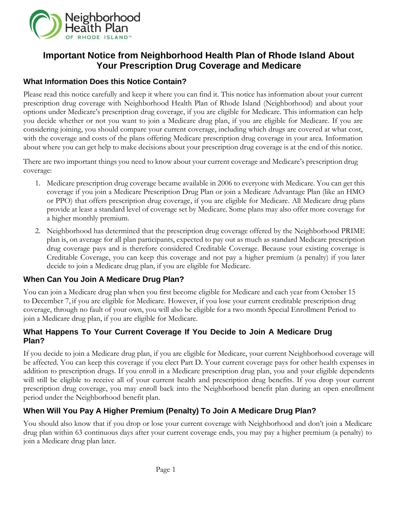

# **Important Notice from Neighborhood Health Plan of Rhode Island About Your Prescription Drug Coverage and Medicare**

## **What Information Does this Notice Contain?**

Please read this notice carefully and keep it where you can find it. This notice has information about your current prescription drug coverage with Neighborhood Health Plan of Rhode Island (Neighborhood) and about your options under Medicare's prescription drug coverage, if you are eligible for Medicare. This information can help you decide whether or not you want to join a Medicare drug plan, if you are eligible for Medicare. If you are considering joining, you should compare your current coverage, including which drugs are covered at what cost, with the coverage and costs of the plans offering Medicare prescription drug coverage in your area. Information about where you can get help to make decisions about your prescription drug coverage is at the end of this notice.

There are two important things you need to know about your current coverage and Medicare's prescription drug coverage:

- 1. Medicare prescription drug coverage became available in 2006 to everyone with Medicare. You can get this coverage if you join a Medicare Prescription Drug Plan or join a Medicare Advantage Plan (like an HMO or PPO) that offers prescription drug coverage, if you are eligible for Medicare. All Medicare drug plans provide at least a standard level of coverage set by Medicare. Some plans may also offer more coverage for a higher monthly premium.
- 2. Neighborhood has determined that the prescription drug coverage offered by the Neighborhood PRIME plan is, on average for all plan participants, expected to pay out as much as standard Medicare prescription drug coverage pays and is therefore considered Creditable Coverage. Because your existing coverage is Creditable Coverage, you can keep this coverage and not pay a higher premium (a penalty) if you later decide to join a Medicare drug plan, if you are eligible for Medicare.

## **When Can You Join A Medicare Drug Plan?**

You can join a Medicare drug plan when you first become eligible for Medicare and each year from October 15 to December 7, if you are eligible for Medicare. However, if you lose your current creditable prescription drug coverage, through no fault of your own, you will also be eligible for a two month Special Enrollment Period to join a Medicare drug plan, if you are eligible for Medicare.

## **What Happens To Your Current Coverage If You Decide to Join A Medicare Drug Plan?**

If you decide to join a Medicare drug plan, if you are eligible for Medicare, your current Neighborhood coverage will be affected. You can keep this coverage if you elect Part D. Your current coverage pays for other health expenses in addition to prescription drugs. If you enroll in a Medicare prescription drug plan, you and your eligible dependents will still be eligible to receive all of your current health and prescription drug benefits. If you drop your current prescription drug coverage, you may enroll back into the Neighborhood benefit plan during an open enrollment period under the Neighborhood benefit plan.

## **When Will You Pay A Higher Premium (Penalty) To Join A Medicare Drug Plan?**

You should also know that if you drop or lose your current coverage with Neighborhood and don't join a Medicare drug plan within 63 continuous days after your current coverage ends, you may pay a higher premium (a penalty) to join a Medicare drug plan later.